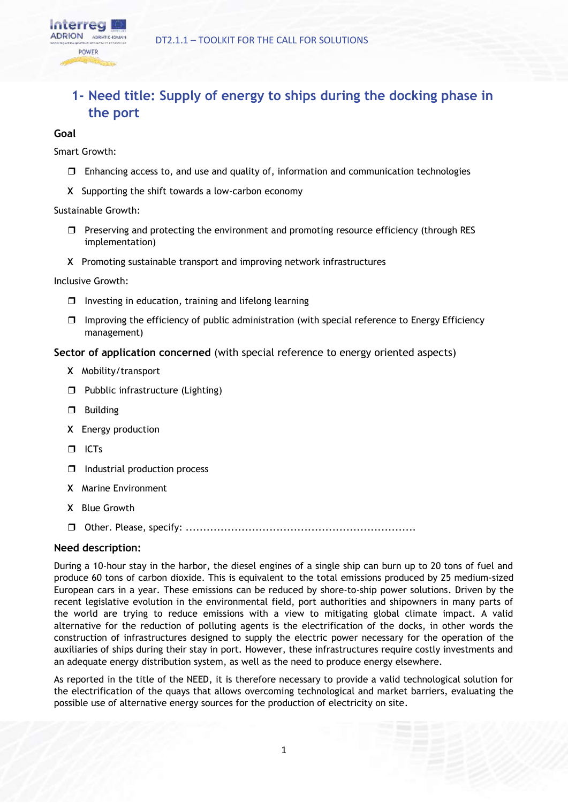

# **1- Need title: Supply of energy to ships during the docking phase in the port**

### **Goal**

Smart Growth:

- $\Box$  Enhancing access to, and use and quality of, information and communication technologies
- **X** Supporting the shift towards a low-carbon economy

Sustainable Growth:

- $\square$  Preserving and protecting the environment and promoting resource efficiency (through RES implementation)
- **X** Promoting sustainable transport and improving network infrastructures

Inclusive Growth:

- $\Box$  Investing in education, training and lifelong learning
- $\Box$  Improving the efficiency of public administration (with special reference to Energy Efficiency management)

### **Sector of application concerned** (with special reference to energy oriented aspects)

- **X** Mobility/transport
- $\Box$  Pubblic infrastructure (Lighting)
- **D** Building
- **X** Energy production
- $\Box$  ICTs
- $\Box$  Industrial production process
- **X** Marine Environment
- **X** Blue Growth
- Other. Please, specify: ..................................................................

### **Need description:**

During a 10-hour stay in the harbor, the diesel engines of a single ship can burn up to 20 tons of fuel and produce 60 tons of carbon dioxide. This is equivalent to the total emissions produced by 25 medium-sized European cars in a year. These emissions can be reduced by shore-to-ship power solutions. Driven by the recent legislative evolution in the environmental field, port authorities and shipowners in many parts of the world are trying to reduce emissions with a view to mitigating global climate impact. A valid alternative for the reduction of polluting agents is the electrification of the docks, in other words the construction of infrastructures designed to supply the electric power necessary for the operation of the auxiliaries of ships during their stay in port. However, these infrastructures require costly investments and an adequate energy distribution system, as well as the need to produce energy elsewhere.

As reported in the title of the NEED, it is therefore necessary to provide a valid technological solution for the electrification of the quays that allows overcoming technological and market barriers, evaluating the possible use of alternative energy sources for the production of electricity on site.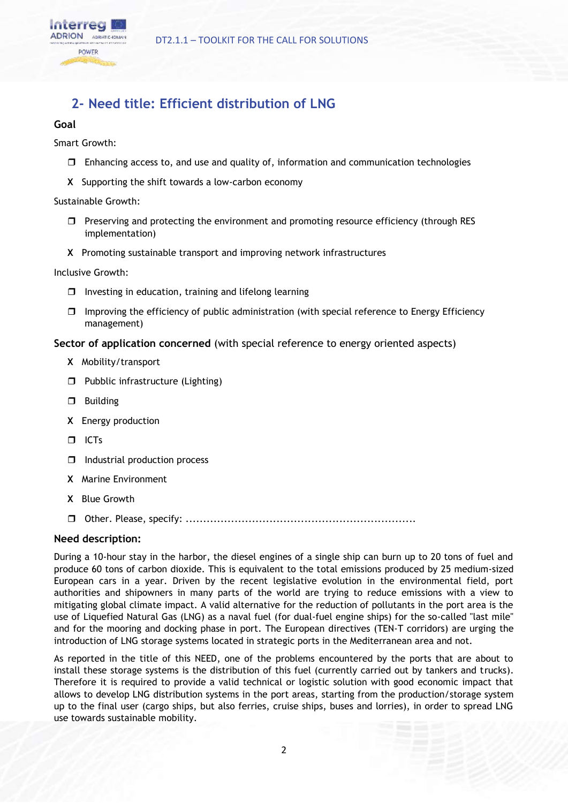

# **2- Need title: Efficient distribution of LNG**

### **Goal**

Smart Growth:

- $\Box$  Enhancing access to, and use and quality of, information and communication technologies
- **X** Supporting the shift towards a low-carbon economy

#### Sustainable Growth:

- $\square$  Preserving and protecting the environment and promoting resource efficiency (through RES implementation)
- **X** Promoting sustainable transport and improving network infrastructures

Inclusive Growth:

- $\Box$  Investing in education, training and lifelong learning
- $\Box$  Improving the efficiency of public administration (with special reference to Energy Efficiency management)

### **Sector of application concerned** (with special reference to energy oriented aspects)

- **X** Mobility/transport
- $\Box$  Pubblic infrastructure (Lighting)
- **D** Building
- **X** Energy production
- $\Box$  ICTs
- $\Box$  Industrial production process
- **X** Marine Environment
- **X** Blue Growth
- Other. Please, specify: ..................................................................

### **Need description:**

During a 10-hour stay in the harbor, the diesel engines of a single ship can burn up to 20 tons of fuel and produce 60 tons of carbon dioxide. This is equivalent to the total emissions produced by 25 medium-sized European cars in a year. Driven by the recent legislative evolution in the environmental field, port authorities and shipowners in many parts of the world are trying to reduce emissions with a view to mitigating global climate impact. A valid alternative for the reduction of pollutants in the port area is the use of Liquefied Natural Gas (LNG) as a naval fuel (for dual-fuel engine ships) for the so-called "last mile" and for the mooring and docking phase in port. The European directives (TEN-T corridors) are urging the introduction of LNG storage systems located in strategic ports in the Mediterranean area and not.

As reported in the title of this NEED, one of the problems encountered by the ports that are about to install these storage systems is the distribution of this fuel (currently carried out by tankers and trucks). Therefore it is required to provide a valid technical or logistic solution with good economic impact that allows to develop LNG distribution systems in the port areas, starting from the production/storage system up to the final user (cargo ships, but also ferries, cruise ships, buses and lorries), in order to spread LNG use towards sustainable mobility.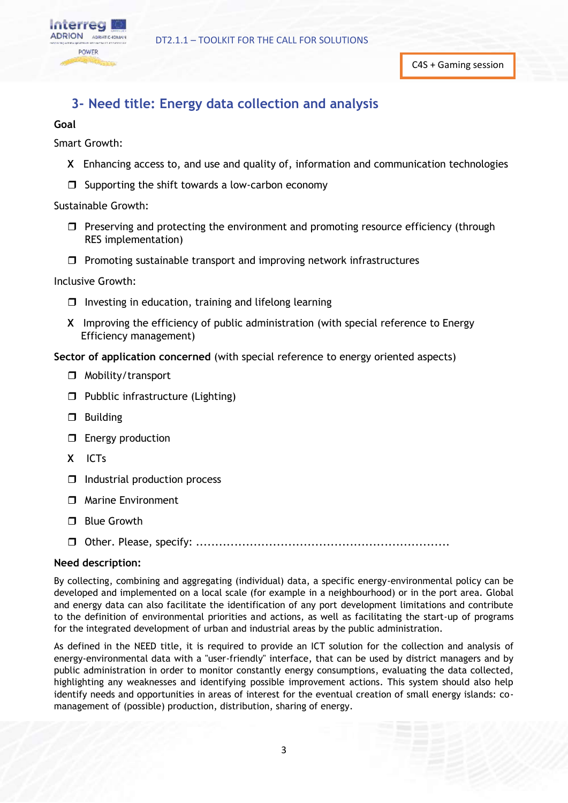

C4S + Gaming session

# **3- Need title: Energy data collection and analysis**

### **Goal**

Smart Growth:

- **X** Enhancing access to, and use and quality of, information and communication technologies
- $\square$  Supporting the shift towards a low-carbon economy

## Sustainable Growth:

- $\Box$  Preserving and protecting the environment and promoting resource efficiency (through RES implementation)
- $\square$  Promoting sustainable transport and improving network infrastructures

Inclusive Growth:

- $\Box$  Investing in education, training and lifelong learning
- **X** Improving the efficiency of public administration (with special reference to Energy Efficiency management)

**Sector of application concerned** (with special reference to energy oriented aspects)

- **D** Mobility/transport
- $\Box$  Pubblic infrastructure (Lighting)
- **D** Building
- **Energy production**
- **X** ICTs
- $\Box$  Industrial production process
- **D** Marine Environment
- **D** Blue Growth
- Other. Please, specify: ..................................................................

### **Need description:**

By collecting, combining and aggregating (individual) data, a specific energy-environmental policy can be developed and implemented on a local scale (for example in a neighbourhood) or in the port area. Global and energy data can also facilitate the identification of any port development limitations and contribute to the definition of environmental priorities and actions, as well as facilitating the start-up of programs for the integrated development of urban and industrial areas by the public administration.

As defined in the NEED title, it is required to provide an ICT solution for the collection and analysis of energy-environmental data with a "user-friendly" interface, that can be used by district managers and by public administration in order to monitor constantly energy consumptions, evaluating the data collected, highlighting any weaknesses and identifying possible improvement actions. This system should also help identify needs and opportunities in areas of interest for the eventual creation of small energy islands: comanagement of (possible) production, distribution, sharing of energy.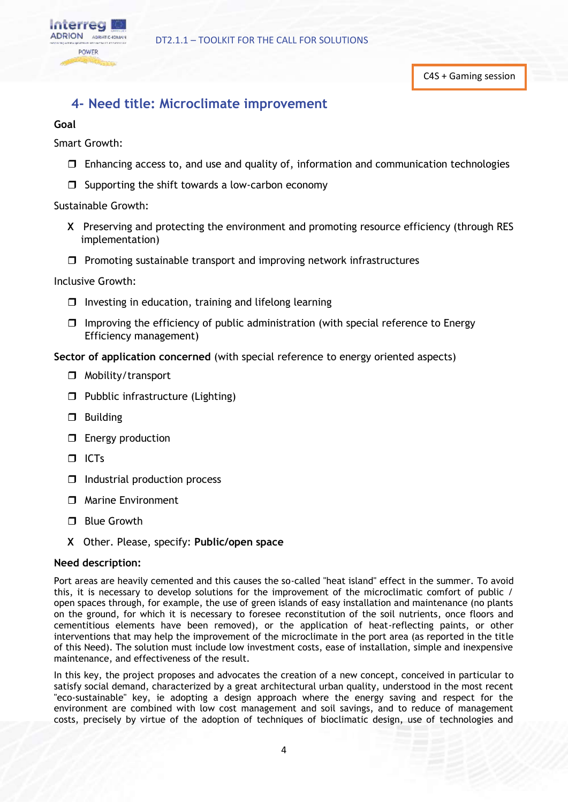

# **4- Need title: Microclimate improvement**

## **Goal**

Smart Growth:

- $\Box$  Enhancing access to, and use and quality of, information and communication technologies
- $\square$  Supporting the shift towards a low-carbon economy

## Sustainable Growth:

- **X** Preserving and protecting the environment and promoting resource efficiency (through RES implementation)
- $\Box$  Promoting sustainable transport and improving network infrastructures

Inclusive Growth:

- $\Box$  Investing in education, training and lifelong learning
- $\Box$  Improving the efficiency of public administration (with special reference to Energy Efficiency management)

**Sector of application concerned** (with special reference to energy oriented aspects)

- $\Box$  Mobility/transport
- $\Box$  Pubblic infrastructure (Lighting)
- **D** Building
- **Energy production**
- **D** ICTs
- $\Box$  Industrial production process
- **D** Marine Environment
- **D** Blue Growth
- **X** Other. Please, specify: **Public/open space**

## **Need description:**

Port areas are heavily cemented and this causes the so-called "heat island" effect in the summer. To avoid this, it is necessary to develop solutions for the improvement of the microclimatic comfort of public / open spaces through, for example, the use of green islands of easy installation and maintenance (no plants on the ground, for which it is necessary to foresee reconstitution of the soil nutrients, once floors and cementitious elements have been removed), or the application of heat-reflecting paints, or other interventions that may help the improvement of the microclimate in the port area (as reported in the title of this Need). The solution must include low investment costs, ease of installation, simple and inexpensive maintenance, and effectiveness of the result.

In this key, the project proposes and advocates the creation of a new concept, conceived in particular to satisfy social demand, characterized by a great architectural urban quality, understood in the most recent "eco-sustainable" key, ie adopting a design approach where the energy saving and respect for the environment are combined with low cost management and soil savings, and to reduce of management costs, precisely by virtue of the adoption of techniques of bioclimatic design, use of technologies and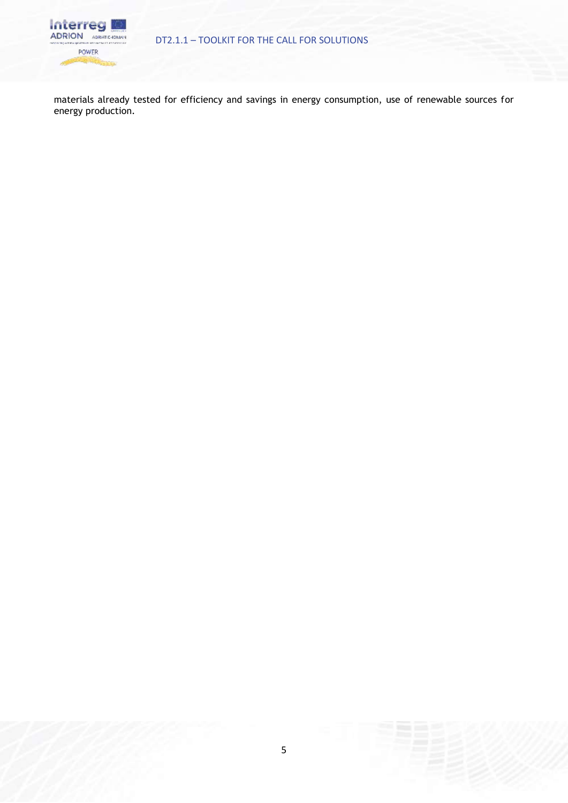

materials already tested for efficiency and savings in energy consumption, use of renewable sources for energy production.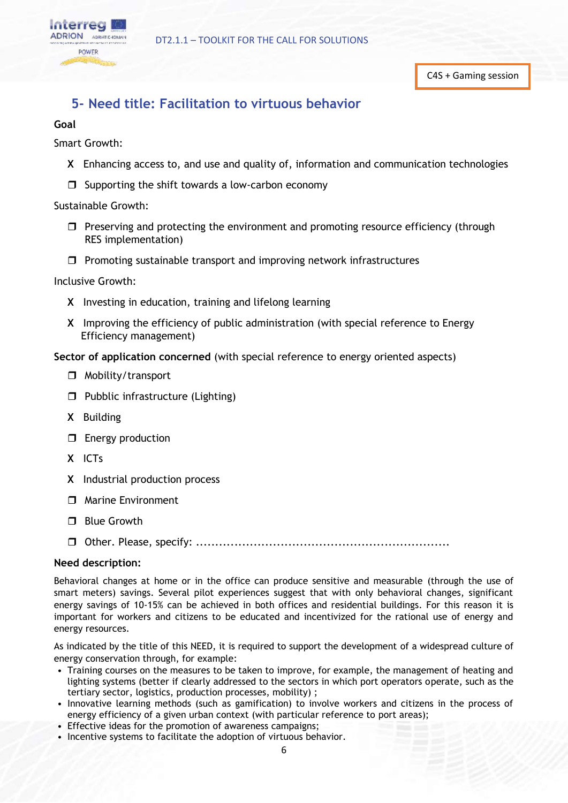

C4S + Gaming session

# **5- Need title: Facilitation to virtuous behavior**

## **Goal**

Smart Growth:

- **X** Enhancing access to, and use and quality of, information and communication technologies
- $\square$  Supporting the shift towards a low-carbon economy

## Sustainable Growth:

- $\Box$  Preserving and protecting the environment and promoting resource efficiency (through RES implementation)
- $\square$  Promoting sustainable transport and improving network infrastructures

Inclusive Growth:

- **X** Investing in education, training and lifelong learning
- **X** Improving the efficiency of public administration (with special reference to Energy Efficiency management)

**Sector of application concerned** (with special reference to energy oriented aspects)

- $\Box$  Mobility/transport
- $\Box$  Pubblic infrastructure (Lighting)
- **X** Building
- **Energy production**
- **X** ICTs
- **X** Industrial production process
- **D** Marine Environment
- **D** Blue Growth
- Other. Please, specify: ..................................................................

## **Need description:**

Behavioral changes at home or in the office can produce sensitive and measurable (through the use of smart meters) savings. Several pilot experiences suggest that with only behavioral changes, significant energy savings of 10-15% can be achieved in both offices and residential buildings. For this reason it is important for workers and citizens to be educated and incentivized for the rational use of energy and energy resources.

As indicated by the title of this NEED, it is required to support the development of a widespread culture of energy conservation through, for example:

- Training courses on the measures to be taken to improve, for example, the management of heating and lighting systems (better if clearly addressed to the sectors in which port operators operate, such as the tertiary sector, logistics, production processes, mobility) ;
- Innovative learning methods (such as gamification) to involve workers and citizens in the process of energy efficiency of a given urban context (with particular reference to port areas);
- Effective ideas for the promotion of awareness campaigns;
- Incentive systems to facilitate the adoption of virtuous behavior.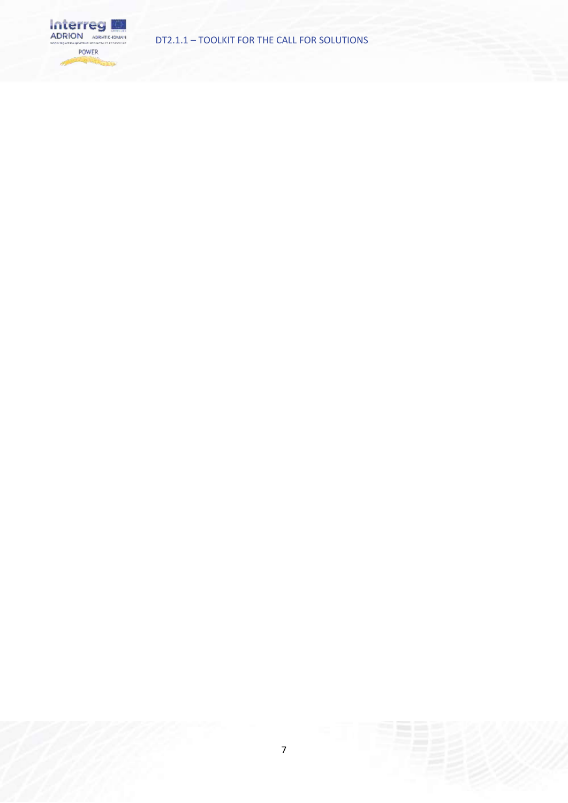

DT2.1.1 – TOOLKIT FOR THE CALL FOR SOLUTIONS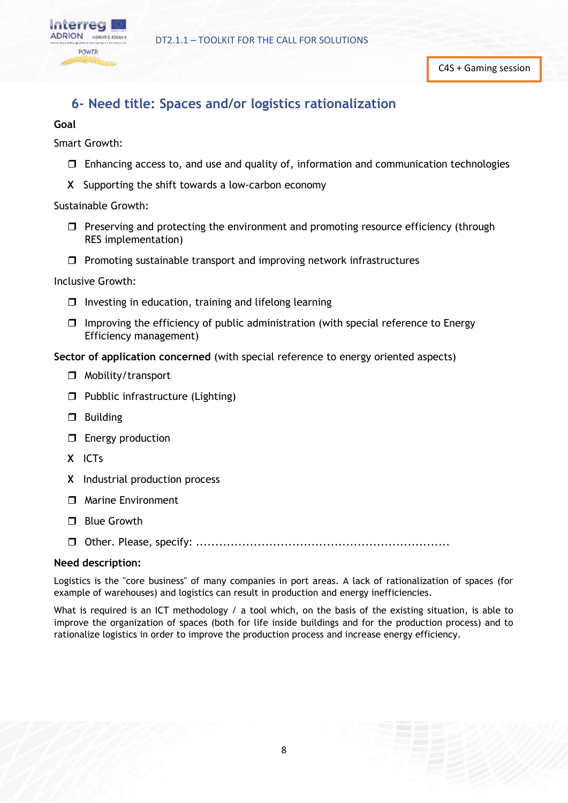

# **6- Need title: Spaces and/or logistics rationalization**

## **Goal**

Smart Growth:

- $\Box$  Enhancing access to, and use and quality of, information and communication technologies
- **X** Supporting the shift towards a low-carbon economy

## Sustainable Growth:

- $\Box$  Preserving and protecting the environment and promoting resource efficiency (through RES implementation)
- $\Box$  Promoting sustainable transport and improving network infrastructures

Inclusive Growth:

- $\Box$  Investing in education, training and lifelong learning
- $\Box$  Improving the efficiency of public administration (with special reference to Energy Efficiency management)

**Sector of application concerned** (with special reference to energy oriented aspects)

- **D** Mobility/transport
- $\Box$  Pubblic infrastructure (Lighting)
- **D** Building
- **Energy production**
- **X** ICTs
- **X** Industrial production process
- **D** Marine Environment
- **D** Blue Growth
- Other. Please, specify: ..................................................................

## **Need description:**

Logistics is the "core business" of many companies in port areas. A lack of rationalization of spaces (for example of warehouses) and logistics can result in production and energy inefficiencies.

What is required is an ICT methodology / a tool which, on the basis of the existing situation, is able to improve the organization of spaces (both for life inside buildings and for the production process) and to rationalize logistics in order to improve the production process and increase energy efficiency.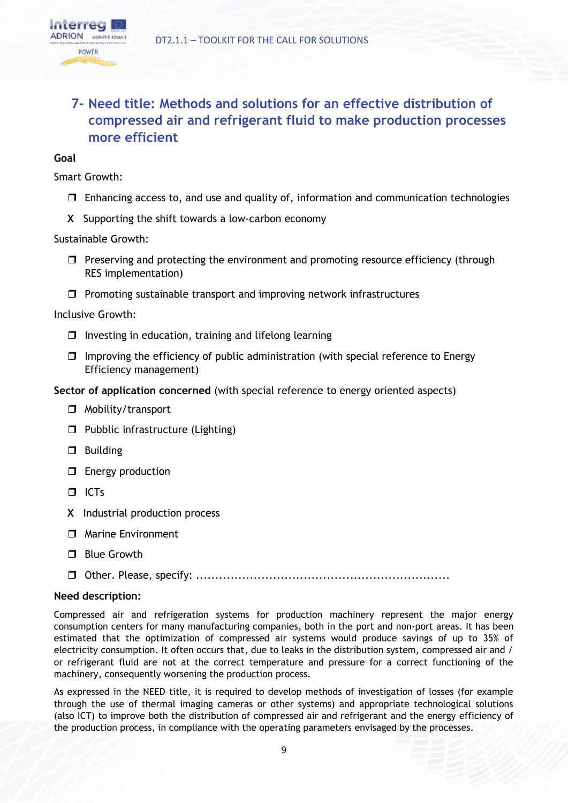

# **7- Need title: Methods and solutions for an effective distribution of compressed air and refrigerant fluid to make production processes more efficient**

### **Goal**

Smart Growth:

- $\Box$  Enhancing access to, and use and quality of, information and communication technologies
- **X** Supporting the shift towards a low-carbon economy

Sustainable Growth:

- $\Box$  Preserving and protecting the environment and promoting resource efficiency (through RES implementation)
- $\Box$  Promoting sustainable transport and improving network infrastructures

### Inclusive Growth:

- $\Box$  Investing in education, training and lifelong learning
- $\Box$  Improving the efficiency of public administration (with special reference to Energy Efficiency management)

**Sector of application concerned** (with special reference to energy oriented aspects)

- $\Box$  Mobility/transport
- $\Box$  Pubblic infrastructure (Lighting)
- **D** Building
- $\square$  Energy production
- $\Box$  ICTs
- **X** Industrial production process
- $\Box$  Marine Environment
- **n** Blue Growth
- Other. Please, specify: ..................................................................

### **Need description:**

Compressed air and refrigeration systems for production machinery represent the major energy consumption centers for many manufacturing companies, both in the port and non-port areas. It has been estimated that the optimization of compressed air systems would produce savings of up to 35% of electricity consumption. It often occurs that, due to leaks in the distribution system, compressed air and / or refrigerant fluid are not at the correct temperature and pressure for a correct functioning of the machinery, consequently worsening the production process.

As expressed in the NEED title, it is required to develop methods of investigation of losses (for example through the use of thermal imaging cameras or other systems) and appropriate technological solutions (also ICT) to improve both the distribution of compressed air and refrigerant and the energy efficiency of the production process, in compliance with the operating parameters envisaged by the processes.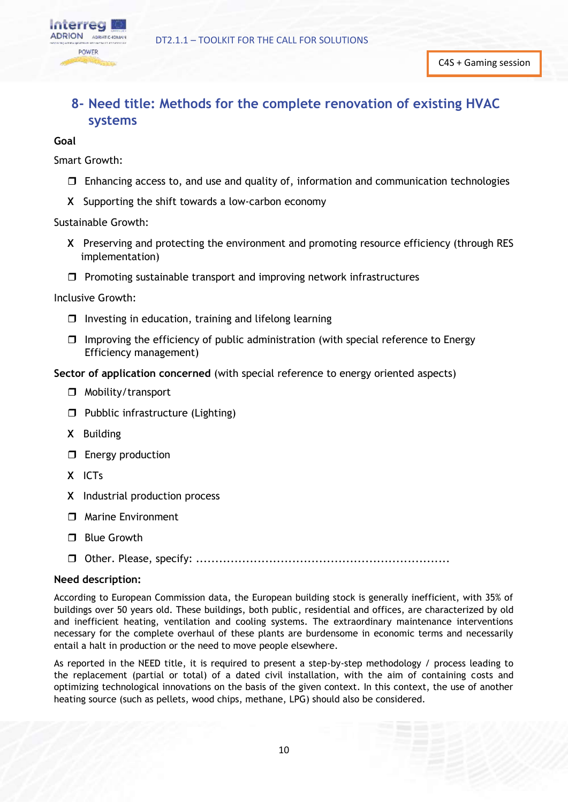

# **8- Need title: Methods for the complete renovation of existing HVAC systems**

## **Goal**

Smart Growth:

- $\Box$  Enhancing access to, and use and quality of, information and communication technologies
- **X** Supporting the shift towards a low-carbon economy

Sustainable Growth:

- **X** Preserving and protecting the environment and promoting resource efficiency (through RES implementation)
- $\Box$  Promoting sustainable transport and improving network infrastructures

Inclusive Growth:

- $\Box$  Investing in education, training and lifelong learning
- $\Box$  Improving the efficiency of public administration (with special reference to Energy Efficiency management)

**Sector of application concerned** (with special reference to energy oriented aspects)

- $\Box$  Mobility/transport
- $\Box$  Pubblic infrastructure (Lighting)
- **X** Building
- $\square$  Energy production
- **X** ICTs
- **X** Industrial production process
- $\Box$  Marine Environment
- **n** Blue Growth
- Other. Please, specify: ..................................................................

### **Need description:**

According to European Commission data, the European building stock is generally inefficient, with 35% of buildings over 50 years old. These buildings, both public, residential and offices, are characterized by old and inefficient heating, ventilation and cooling systems. The extraordinary maintenance interventions necessary for the complete overhaul of these plants are burdensome in economic terms and necessarily entail a halt in production or the need to move people elsewhere.

As reported in the NEED title, it is required to present a step-by-step methodology / process leading to the replacement (partial or total) of a dated civil installation, with the aim of containing costs and optimizing technological innovations on the basis of the given context. In this context, the use of another heating source (such as pellets, wood chips, methane, LPG) should also be considered.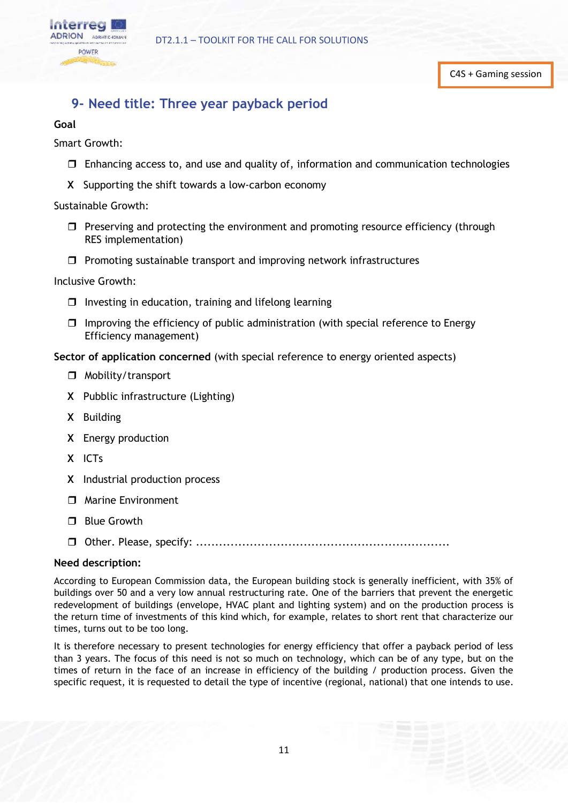

C4S + Gaming session

# **9- Need title: Three year payback period**

### **Goal**

Smart Growth:

- $\Box$  Enhancing access to, and use and quality of, information and communication technologies
- **X** Supporting the shift towards a low-carbon economy

## Sustainable Growth:

- $\Box$  Preserving and protecting the environment and promoting resource efficiency (through RES implementation)
- $\square$  Promoting sustainable transport and improving network infrastructures

Inclusive Growth:

- $\Box$  Investing in education, training and lifelong learning
- $\Box$  Improving the efficiency of public administration (with special reference to Energy Efficiency management)

**Sector of application concerned** (with special reference to energy oriented aspects)

- $\Box$  Mobility/transport
- **X** Pubblic infrastructure (Lighting)
- **X** Building
- **X** Energy production
- **X** ICTs
- **X** Industrial production process
- **D** Marine Environment
- **D** Blue Growth
- Other. Please, specify: ..................................................................

### **Need description:**

According to European Commission data, the European building stock is generally inefficient, with 35% of buildings over 50 and a very low annual restructuring rate. One of the barriers that prevent the energetic redevelopment of buildings (envelope, HVAC plant and lighting system) and on the production process is the return time of investments of this kind which, for example, relates to short rent that characterize our times, turns out to be too long.

It is therefore necessary to present technologies for energy efficiency that offer a payback period of less than 3 years. The focus of this need is not so much on technology, which can be of any type, but on the times of return in the face of an increase in efficiency of the building / production process. Given the specific request, it is requested to detail the type of incentive (regional, national) that one intends to use.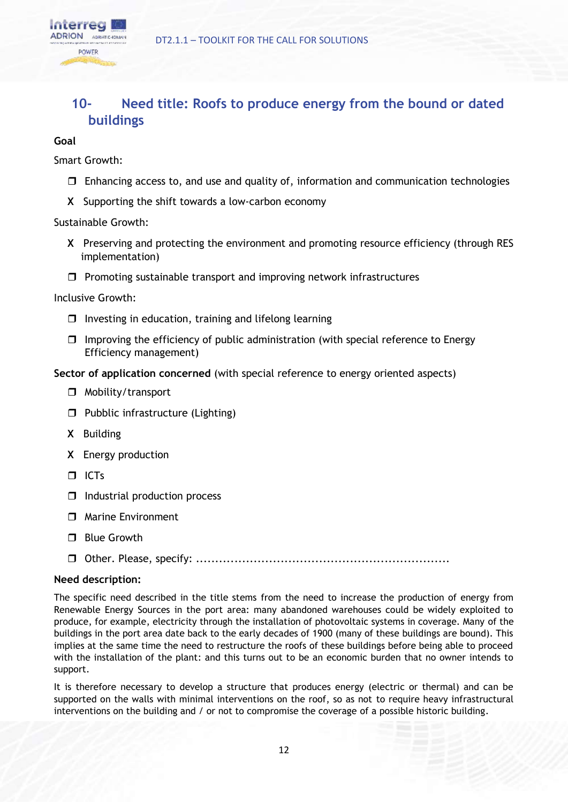

# **10- Need title: Roofs to produce energy from the bound or dated buildings**

## **Goal**

Smart Growth:

- $\Box$  Enhancing access to, and use and quality of, information and communication technologies
- **X** Supporting the shift towards a low-carbon economy

## Sustainable Growth:

- **X** Preserving and protecting the environment and promoting resource efficiency (through RES implementation)
- $\Box$  Promoting sustainable transport and improving network infrastructures

## Inclusive Growth:

- $\Box$  Investing in education, training and lifelong learning
- $\Box$  Improving the efficiency of public administration (with special reference to Energy Efficiency management)

**Sector of application concerned** (with special reference to energy oriented aspects)

- $\Box$  Mobility/transport
- $\Box$  Pubblic infrastructure (Lighting)
- **X** Building
- **X** Energy production
- $\Box$  ICTs
- $\Box$  Industrial production process
- $\Box$  Marine Environment
- **n** Blue Growth
- Other. Please, specify: ..................................................................

## **Need description:**

The specific need described in the title stems from the need to increase the production of energy from Renewable Energy Sources in the port area: many abandoned warehouses could be widely exploited to produce, for example, electricity through the installation of photovoltaic systems in coverage. Many of the buildings in the port area date back to the early decades of 1900 (many of these buildings are bound). This implies at the same time the need to restructure the roofs of these buildings before being able to proceed with the installation of the plant: and this turns out to be an economic burden that no owner intends to support.

It is therefore necessary to develop a structure that produces energy (electric or thermal) and can be supported on the walls with minimal interventions on the roof, so as not to require heavy infrastructural interventions on the building and / or not to compromise the coverage of a possible historic building.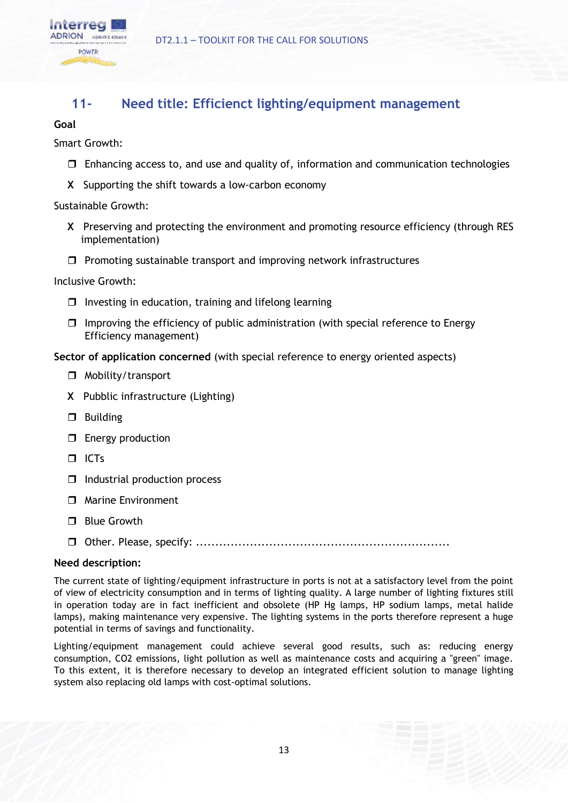

# **11- Need title: Efficienct lighting/equipment management**

## **Goal**

Smart Growth:

- $\Box$  Enhancing access to, and use and quality of, information and communication technologies
- **X** Supporting the shift towards a low-carbon economy

## Sustainable Growth:

- **X** Preserving and protecting the environment and promoting resource efficiency (through RES implementation)
- $\Box$  Promoting sustainable transport and improving network infrastructures

Inclusive Growth:

- $\Box$  Investing in education, training and lifelong learning
- $\Box$  Improving the efficiency of public administration (with special reference to Energy Efficiency management)

**Sector of application concerned** (with special reference to energy oriented aspects)

- $\Box$  Mobility/transport
- **X** Pubblic infrastructure (Lighting)
- **D** Building
- **Energy production**
- **D** ICTs
- $\Box$  Industrial production process
- **D** Marine Environment
- **D** Blue Growth
- Other. Please, specify: ..................................................................

## **Need description:**

The current state of lighting/equipment infrastructure in ports is not at a satisfactory level from the point of view of electricity consumption and in terms of lighting quality. A large number of lighting fixtures still in operation today are in fact inefficient and obsolete (HP Hg lamps, HP sodium lamps, metal halide lamps), making maintenance very expensive. The lighting systems in the ports therefore represent a huge potential in terms of savings and functionality.

Lighting/equipment management could achieve several good results, such as: reducing energy consumption, CO2 emissions, light pollution as well as maintenance costs and acquiring a "green" image. To this extent, it is therefore necessary to develop an integrated efficient solution to manage lighting system also replacing old lamps with cost-optimal solutions.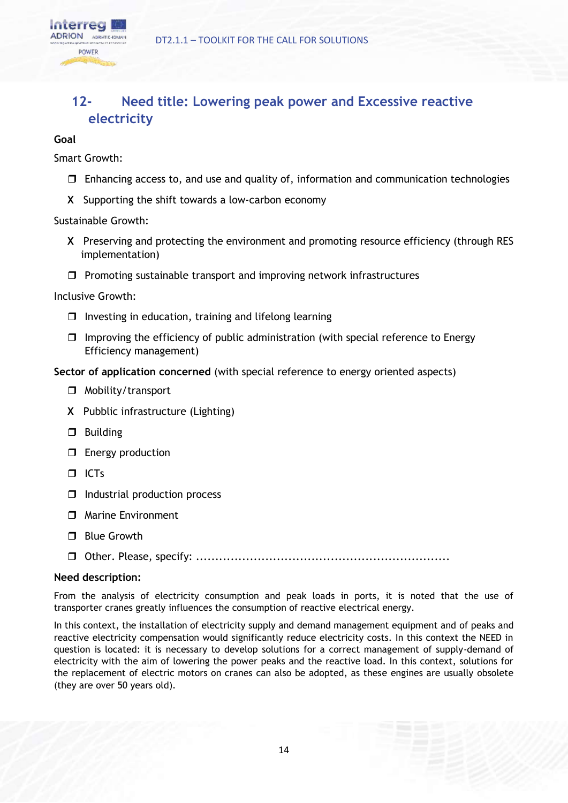

# **12- Need title: Lowering peak power and Excessive reactive electricity**

### **Goal**

Smart Growth:

- $\Box$  Enhancing access to, and use and quality of, information and communication technologies
- **X** Supporting the shift towards a low-carbon economy

Sustainable Growth:

- **X** Preserving and protecting the environment and promoting resource efficiency (through RES implementation)
- $\Box$  Promoting sustainable transport and improving network infrastructures

Inclusive Growth:

- $\Box$  Investing in education, training and lifelong learning
- $\Box$  Improving the efficiency of public administration (with special reference to Energy Efficiency management)

**Sector of application concerned** (with special reference to energy oriented aspects)

- **D** Mobility/transport
- **X** Pubblic infrastructure (Lighting)
- **D** Building
- $\square$  Energy production
- **D** ICTs
- $\Box$  Industrial production process
- **D** Marine Environment
- **n** Blue Growth
- Other. Please, specify: ..................................................................

### **Need description:**

From the analysis of electricity consumption and peak loads in ports, it is noted that the use of transporter cranes greatly influences the consumption of reactive electrical energy.

In this context, the installation of electricity supply and demand management equipment and of peaks and reactive electricity compensation would significantly reduce electricity costs. In this context the NEED in question is located: it is necessary to develop solutions for a correct management of supply-demand of electricity with the aim of lowering the power peaks and the reactive load. In this context, solutions for the replacement of electric motors on cranes can also be adopted, as these engines are usually obsolete (they are over 50 years old).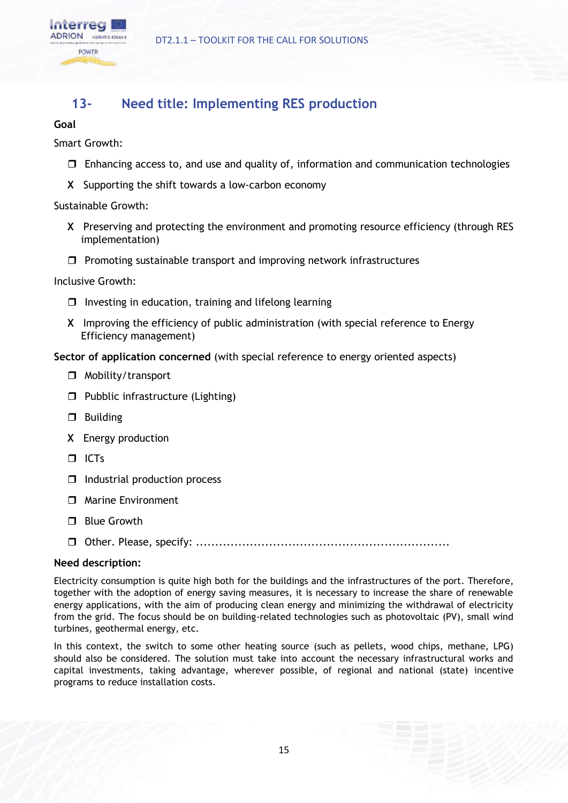

# **13- Need title: Implementing RES production**

## **Goal**

Smart Growth:

- $\Box$  Enhancing access to, and use and quality of, information and communication technologies
- **X** Supporting the shift towards a low-carbon economy

## Sustainable Growth:

- **X** Preserving and protecting the environment and promoting resource efficiency (through RES implementation)
- $\Box$  Promoting sustainable transport and improving network infrastructures

Inclusive Growth:

- $\Box$  Investing in education, training and lifelong learning
- **X** Improving the efficiency of public administration (with special reference to Energy Efficiency management)

**Sector of application concerned** (with special reference to energy oriented aspects)

- $\Box$  Mobility/transport
- $\Box$  Pubblic infrastructure (Lighting)
- **D** Building
- **X** Energy production
- **D** ICTs
- $\Box$  Industrial production process
- **D** Marine Environment
- **D** Blue Growth
- Other. Please, specify: ..................................................................

## **Need description:**

Electricity consumption is quite high both for the buildings and the infrastructures of the port. Therefore, together with the adoption of energy saving measures, it is necessary to increase the share of renewable energy applications, with the aim of producing clean energy and minimizing the withdrawal of electricity from the grid. The focus should be on building-related technologies such as photovoltaic (PV), small wind turbines, geothermal energy, etc.

In this context, the switch to some other heating source (such as pellets, wood chips, methane, LPG) should also be considered. The solution must take into account the necessary infrastructural works and capital investments, taking advantage, wherever possible, of regional and national (state) incentive programs to reduce installation costs.